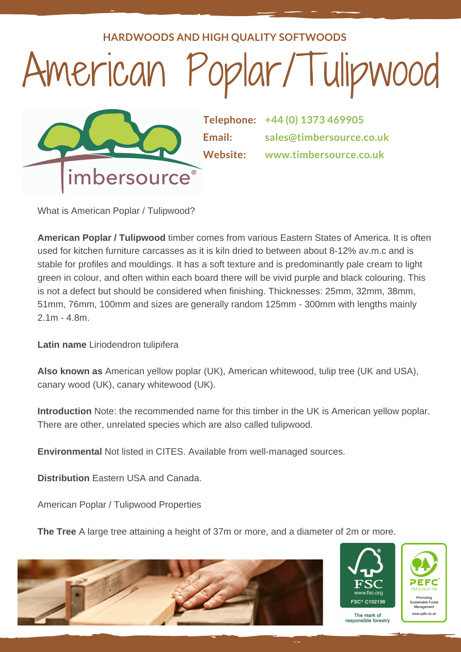### **HARDWOODS AND HIGH QUALITY SOFTWOODS**

## American Poplar/Tulipwood



**Telephone: +44 (0) 1373 469905 Email: Website: sales@timbersource.co.uk www.timbersource.co.uk**

What is American Poplar / Tulipwood?

**American Poplar / Tulipwood** timber comes from various Eastern States of America. It is often used for kitchen furniture carcasses as it is kiln dried to between about 8-12% av.m.c and is stable for profiles and mouldings. It has a soft texture and is predominantly pale cream to light green in colour, and often within each board there will be vivid purple and black colouring. This is not a defect but should be considered when finishing. Thicknesses: 25mm, 32mm, 38mm, 51mm, 76mm, 100mm and sizes are generally random 125mm - 300mm with lengths mainly 2.1m - 4.8m.

**Latin name** Liriodendron tulipifera

**Also known as** American yellow poplar (UK), American whitewood, tulip tree (UK and USA), canary wood (UK), canary whitewood (UK).

**Introduction** Note: the recommended name for this timber in the UK is American yellow poplar. There are other, unrelated species which are also called tulipwood.

**Environmental** Not listed in CITES. Available from well-managed sources.

**Distribution** Eastern USA and Canada.

American Poplar / Tulipwood Properties

**The Tree** A large tree attaining a height of 37m or more, and a diameter of 2m or more.







The mark of responsible forestry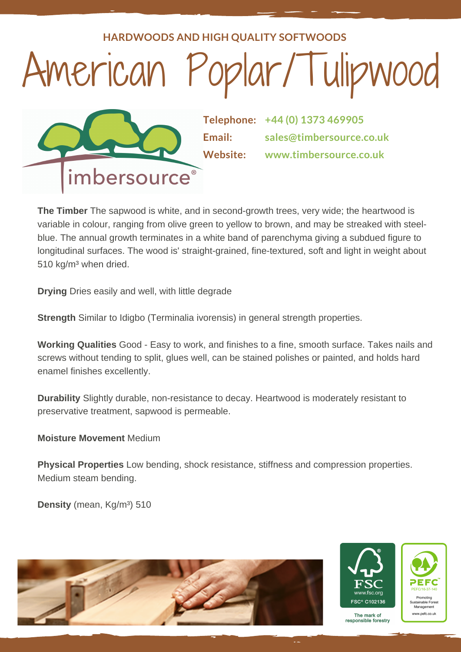### **HARDWOODS AND HIGH QUALITY SOFTWOODS**

## American Poplar/Tulipwood



**Email: Website:**

**Telephone: +44 (0) 1373 469905 sales@timbersource.co.uk www.timbersource.co.uk**

**The Timber** The sapwood is white, and in second-growth trees, very wide; the heartwood is variable in colour, ranging from olive green to yellow to brown, and may be streaked with steelblue. The annual growth terminates in a white band of parenchyma giving a subdued figure to longitudinal surfaces. The wood is' straight-grained, fine-textured, soft and light in weight about 510 kg/m<sup>3</sup> when dried.

**Drying** Dries easily and well, with little degrade

**Strength** Similar to Idigbo (Terminalia ivorensis) in general strength properties.

**Working Qualities** Good - Easy to work, and finishes to a fine, smooth surface. Takes nails and screws without tending to split, glues well, can be stained polishes or painted, and holds hard enamel finishes excellently.

**Durability** Slightly durable, non-resistance to decay. Heartwood is moderately resistant to preservative treatment, sapwood is permeable.

**Moisture Movement** Medium

**Physical Properties** Low bending, shock resistance, stiffness and compression properties. Medium steam bending.

**Density** (mean, Kg/m<sup>3</sup>) 510







The mark of responsible forestry www.pefc.co.ul